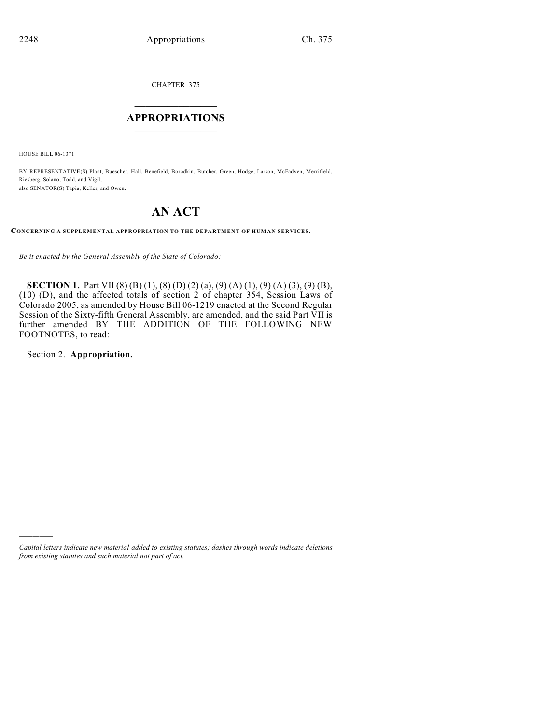CHAPTER 375

# $\overline{\phantom{a}}$  . The set of the set of the set of the set of the set of the set of the set of the set of the set of the set of the set of the set of the set of the set of the set of the set of the set of the set of the set o **APPROPRIATIONS**  $\_$   $\_$   $\_$   $\_$   $\_$   $\_$   $\_$   $\_$

HOUSE BILL 06-1371

BY REPRESENTATIVE(S) Plant, Buescher, Hall, Benefield, Borodkin, Butcher, Green, Hodge, Larson, McFadyen, Merrifield, Riesberg, Solano, Todd, and Vigil; also SENATOR(S) Tapia, Keller, and Owen.

# **AN ACT**

**CONCERNING A SUPPLEMENTAL APPROPRIATION TO THE DEPARTMENT OF HUMAN SERVICES.**

*Be it enacted by the General Assembly of the State of Colorado:*

**SECTION 1.** Part VII (8) (B) (1), (8) (D) (2) (a), (9) (A) (1), (9) (A) (3), (9) (B), (10) (D), and the affected totals of section 2 of chapter 354, Session Laws of Colorado 2005, as amended by House Bill 06-1219 enacted at the Second Regular Session of the Sixty-fifth General Assembly, are amended, and the said Part VII is further amended BY THE ADDITION OF THE FOLLOWING NEW FOOTNOTES, to read:

Section 2. **Appropriation.**

)))))

*Capital letters indicate new material added to existing statutes; dashes through words indicate deletions from existing statutes and such material not part of act.*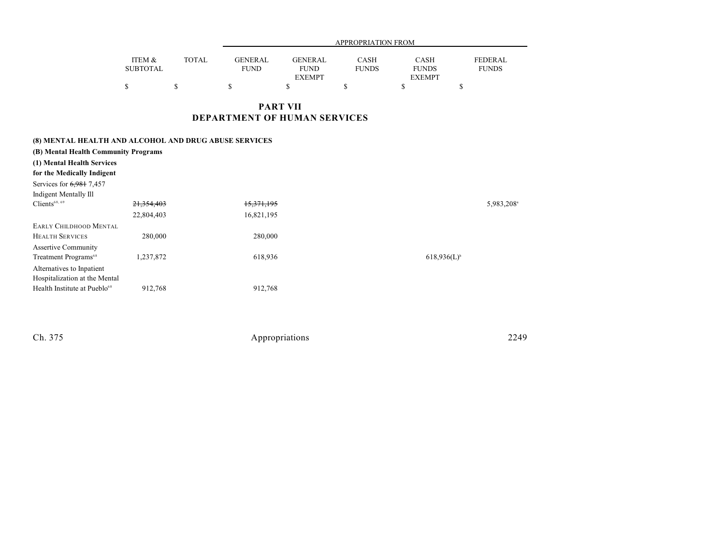|                 |              | APPROPRIATION FROM |               |              |               |                |  |
|-----------------|--------------|--------------------|---------------|--------------|---------------|----------------|--|
| ITEM &          | <b>TOTAL</b> | GENERAL            | GENERAL       | CASH         | CASH          | <b>FEDERAL</b> |  |
| <b>SUBTOTAL</b> |              | <b>FUND</b>        | <b>FUND</b>   | <b>FUNDS</b> | <b>FUNDS</b>  | <b>FUNDS</b>   |  |
|                 |              |                    | <b>EXEMPT</b> |              | <b>EXEMPT</b> |                |  |
|                 |              |                    |               |              |               |                |  |

**PART VII DEPARTMENT OF HUMAN SERVICES**

| (B) Mental Health Community Programs<br>(1) Mental Health Services<br>for the Medically Indigent<br>Services for 6,981 7,457<br><b>Indigent Mentally Ill</b> |            | (8) MENTAL HEALTH AND ALCOHOL AND DRUG ABUSE SERVICES |                  |                        |
|--------------------------------------------------------------------------------------------------------------------------------------------------------------|------------|-------------------------------------------------------|------------------|------------------------|
| Clients <sup>68, 69</sup>                                                                                                                                    | 21,354,403 | 15,371,195                                            |                  | 5,983,208 <sup>a</sup> |
|                                                                                                                                                              | 22,804,403 | 16,821,195                                            |                  |                        |
| <b>EARLY CHILDHOOD MENTAL</b>                                                                                                                                |            |                                                       |                  |                        |
| <b>HEALTH SERVICES</b>                                                                                                                                       | 280,000    | 280,000                                               |                  |                        |
| <b>Assertive Community</b>                                                                                                                                   |            |                                                       |                  |                        |
| Treatment Programs <sup>68</sup>                                                                                                                             | 1,237,872  | 618,936                                               | $618,936(L)^{b}$ |                        |
| Alternatives to Inpatient                                                                                                                                    |            |                                                       |                  |                        |
| Hospitalization at the Mental                                                                                                                                |            |                                                       |                  |                        |
| Health Institute at Pueblo <sup>68</sup>                                                                                                                     | 912,768    | 912,768                                               |                  |                        |
|                                                                                                                                                              |            |                                                       |                  |                        |
|                                                                                                                                                              |            |                                                       |                  |                        |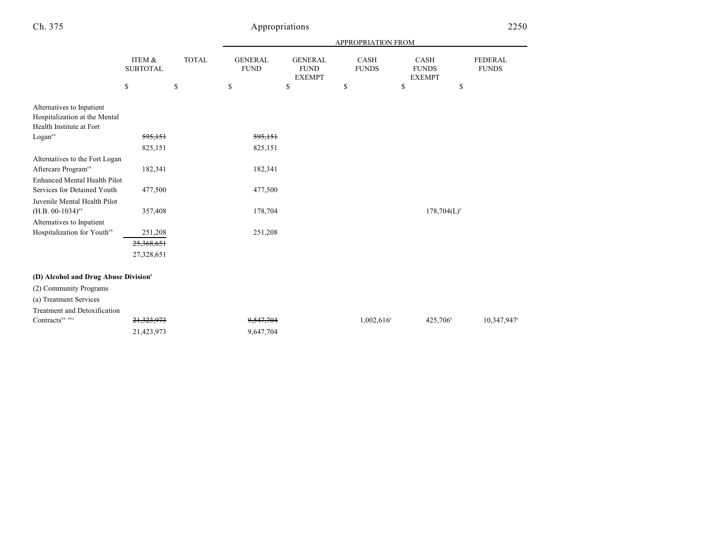|                                                    |                           |              | APPROPRIATION FROM            |                                                |                      |                                       |                                |  |
|----------------------------------------------------|---------------------------|--------------|-------------------------------|------------------------------------------------|----------------------|---------------------------------------|--------------------------------|--|
|                                                    | ITEM &<br><b>SUBTOTAL</b> | <b>TOTAL</b> | <b>GENERAL</b><br><b>FUND</b> | <b>GENERAL</b><br><b>FUND</b><br><b>EXEMPT</b> | CASH<br><b>FUNDS</b> | CASH<br><b>FUNDS</b><br><b>EXEMPT</b> | <b>FEDERAL</b><br><b>FUNDS</b> |  |
|                                                    | \$                        | \$           | \$                            | \$                                             | \$                   | \$<br>\$                              |                                |  |
| Alternatives to Inpatient                          |                           |              |                               |                                                |                      |                                       |                                |  |
| Hospitalization at the Mental                      |                           |              |                               |                                                |                      |                                       |                                |  |
| Health Institute at Fort                           |                           |              |                               |                                                |                      |                                       |                                |  |
| $\rm Logan^{68}$                                   | 595,151                   |              | 595,151                       |                                                |                      |                                       |                                |  |
|                                                    | 825,151                   |              | 825,151                       |                                                |                      |                                       |                                |  |
| Alternatives to the Fort Logan                     |                           |              |                               |                                                |                      |                                       |                                |  |
| Aftercare Program <sup>68</sup>                    | 182,341                   |              | 182,341                       |                                                |                      |                                       |                                |  |
| <b>Enhanced Mental Health Pilot</b>                |                           |              |                               |                                                |                      |                                       |                                |  |
| Services for Detained Youth                        | 477,500                   |              | 477,500                       |                                                |                      |                                       |                                |  |
| Juvenile Mental Health Pilot                       |                           |              |                               |                                                |                      |                                       |                                |  |
| $(H.B. 00-1034)^{68}$                              | 357,408                   |              | 178,704                       |                                                |                      | $178,704(L)^{b}$                      |                                |  |
| Alternatives to Inpatient                          |                           |              |                               |                                                |                      |                                       |                                |  |
| Hospitalization for Youth <sup>68</sup>            | 251,208                   |              | 251,208                       |                                                |                      |                                       |                                |  |
|                                                    | 25,368,651                |              |                               |                                                |                      |                                       |                                |  |
|                                                    | 27,328,651                |              |                               |                                                |                      |                                       |                                |  |
| (D) Alcohol and Drug Abuse Division6               |                           |              |                               |                                                |                      |                                       |                                |  |
| (2) Community Programs                             |                           |              |                               |                                                |                      |                                       |                                |  |
| (a) Treatment Services                             |                           |              |                               |                                                |                      |                                       |                                |  |
| Treatment and Detoxification                       |                           |              |                               |                                                |                      |                                       |                                |  |
| $\text{Contracts}^{\scriptscriptstyle 68, \, 68a}$ | 21,323,973                |              | 9,547,704                     |                                                | $1,002,616^{\circ}$  | 425,706 <sup>b</sup>                  | 10,347,947°                    |  |
|                                                    | 21,423,973                |              | 9,647,704                     |                                                |                      |                                       |                                |  |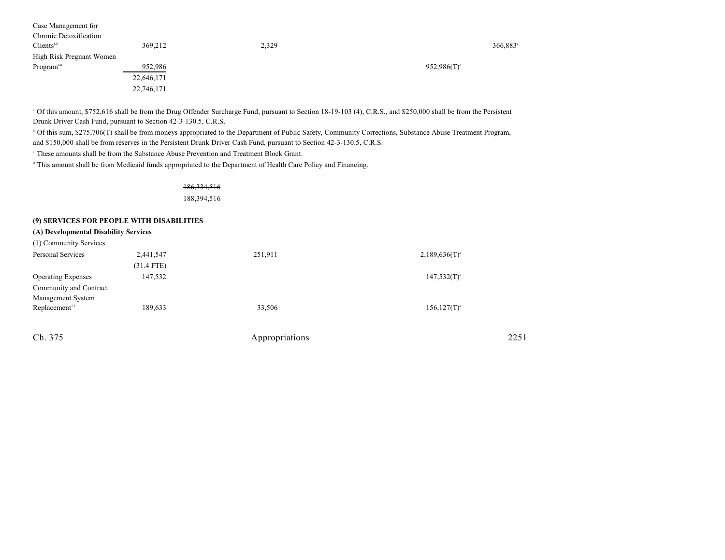| Case Management for      |            |       |                |
|--------------------------|------------|-------|----------------|
| Chronic Detoxification   |            |       |                |
| Clients <sup>68</sup>    | 369,212    | 2,329 | 366,883        |
| High Risk Pregnant Women |            |       |                |
| Program <sup>68</sup>    | 952,986    |       | $952,986(T)^d$ |
|                          | 22,646,171 |       |                |
|                          | 22,746,171 |       |                |

 Of this amount, \$752,616 shall be from the Drug Offender Surcharge Fund, pursuant to Section 18-19-103 (4), C.R.S., and \$250,000 shall be from the Persistent <sup>a</sup> Drunk Driver Cash Fund, pursuant to Section 42-3-130.5, C.R.S.

<sup>b</sup> Of this sum, \$275,706(T) shall be from moneys appropriated to the Department of Public Safety, Community Corrections, Substance Abuse Treatment Program, and \$150,000 shall be from reserves in the Persistent Drunk Driver Cash Fund, pursuant to Section 42-3-130.5, C.R.S.

<sup>c</sup> These amounts shall be from the Substance Abuse Prevention and Treatment Block Grant.

<sup>d</sup> This amount shall be from Medicaid funds appropriated to the Department of Health Care Policy and Financing.

186,334,516 188,394,516

### **(9) SERVICES FOR PEOPLE WITH DISABILITIES**

| (A) Developmental Disability Services |  |
|---------------------------------------|--|
| (1) Community Services                |  |

| Personal Services         | 2,441,547    | 251,911 | $2,189,636(T)^{a}$ |
|---------------------------|--------------|---------|--------------------|
|                           | $(31.4$ FTE) |         |                    |
| <b>Operating Expenses</b> | 147,532      |         | $147,532(T)^{a}$   |
| Community and Contract    |              |         |                    |
| Management System         |              |         |                    |
| Replacement <sup>73</sup> | 189,633      | 33,506  | $156, 127(T)^{a}$  |
|                           |              |         |                    |
|                           |              |         |                    |

| Appropriations | 2251 |
|----------------|------|
|                |      |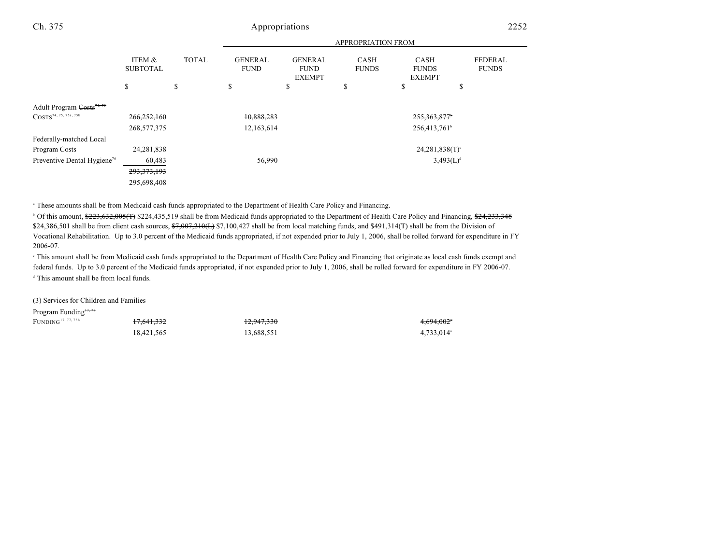|                                                                    | <b>APPROPRIATION FROM</b>    |              |                               |                                                |                             |                                              |                                |
|--------------------------------------------------------------------|------------------------------|--------------|-------------------------------|------------------------------------------------|-----------------------------|----------------------------------------------|--------------------------------|
|                                                                    | ITEM &<br><b>SUBTOTAL</b>    | <b>TOTAL</b> | <b>GENERAL</b><br><b>FUND</b> | <b>GENERAL</b><br><b>FUND</b><br><b>EXEMPT</b> | <b>CASH</b><br><b>FUNDS</b> | <b>CASH</b><br><b>FUNDS</b><br><b>EXEMPT</b> | <b>FEDERAL</b><br><b>FUNDS</b> |
|                                                                    | \$                           | \$           | \$                            | \$                                             | \$                          | \$                                           | \$                             |
| Adult Program Costs <sup>74,75</sup><br>$COSTS^{74, 75, 75a, 75b}$ | 266,252,160<br>268, 577, 375 |              | 10,888,283<br>12,163,614      |                                                |                             | 255, 363, 877<br>256,413,761 <sup>b</sup>    |                                |
| Federally-matched Local                                            |                              |              |                               |                                                |                             |                                              |                                |
| Program Costs                                                      | 24, 281, 838                 |              |                               |                                                |                             | $24,281,838(T)$ <sup>c</sup>                 |                                |
| Preventive Dental Hygiene <sup>76</sup>                            | 60,483                       |              | 56,990                        |                                                |                             | $3,493(L)^d$                                 |                                |
|                                                                    | 293, 373, 193                |              |                               |                                                |                             |                                              |                                |
|                                                                    | 295,698,408                  |              |                               |                                                |                             |                                              |                                |

These amounts shall be from Medicaid cash funds appropriated to the Department of Health Care Policy and Financing. <sup>a</sup>

<sup>b</sup> Of this amount, \$223,632,005(T) \$224,435,519 shall be from Medicaid funds appropriated to the Department of Health Care Policy and Financing, \$24,233,348 \$24,386,501 shall be from client cash sources,  $\frac{67,007,210(1)}{7}$  \$7,100,427 shall be from local matching funds, and \$491,314(T) shall be from the Division of Vocational Rehabilitation. Up to 3.0 percent of the Medicaid funds appropriated, if not expended prior to July 1, 2006, shall be rolled forward for expenditure in FY 2006-07.

 This amount shall be from Medicaid cash funds appropriated to the Department of Health Care Policy and Financing that originate as local cash funds exempt and <sup>c</sup> federal funds. Up to 3.0 percent of the Medicaid funds appropriated, if not expended prior to July 1, 2006, shall be rolled forward for expenditure in FY 2006-07.  $d$  This amount shall be from local funds.

(3) Services for Children and Families

### Program Funding<sup>17, 77</sup>

FUNDING 17,641,332 12,947,330 4,694,002 17, 77, 75b <sup>a</sup>

18,421,565 13,688,551 4,733,014<sup>a</sup>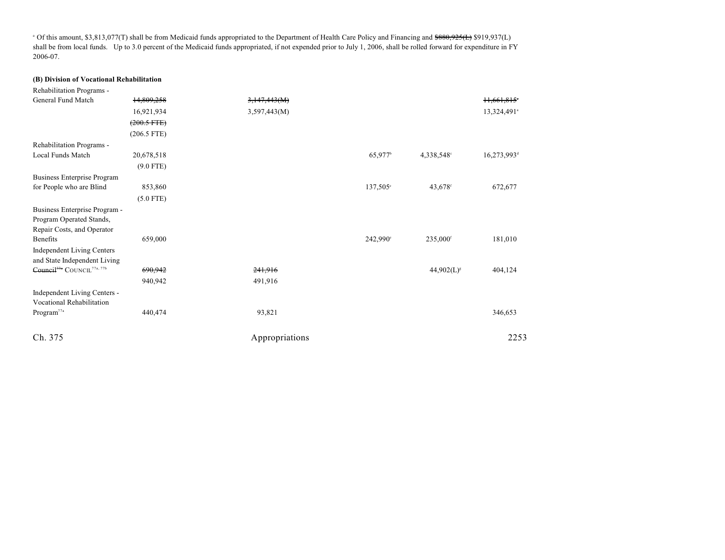<sup>a</sup> Of this amount, \$3,813,077(T) shall be from Medicaid funds appropriated to the Department of Health Care Policy and Financing and <del>\$880,925(L)</del> \$919,937(L) shall be from local funds. Up to 3.0 percent of the Medicaid funds appropriated, if not expended prior to July 1, 2006, shall be rolled forward for expenditure in FY 2006-07.

#### **(B) Division of Vocational Rehabilitation**

| Rehabilitation Programs -                                                               |                  |                |                      |                      |                         |
|-----------------------------------------------------------------------------------------|------------------|----------------|----------------------|----------------------|-------------------------|
| General Fund Match                                                                      | 14,809,258       | 3,147,443(M)   |                      |                      | 11,661,815              |
|                                                                                         | 16,921,934       | 3,597,443(M)   |                      |                      | 13,324,491 <sup>a</sup> |
|                                                                                         | $(200.5$ FTE $)$ |                |                      |                      |                         |
|                                                                                         | $(206.5$ FTE)    |                |                      |                      |                         |
| Rehabilitation Programs -                                                               |                  |                |                      |                      |                         |
| Local Funds Match                                                                       | 20,678,518       |                | 65,977 <sup>b</sup>  | 4,338,548°           | 16,273,993 <sup>d</sup> |
|                                                                                         | $(9.0$ FTE)      |                |                      |                      |                         |
| <b>Business Enterprise Program</b>                                                      |                  |                |                      |                      |                         |
| for People who are Blind                                                                | 853,860          |                | 137,505 <sup>e</sup> | 43,678 <sup>f</sup>  | 672,677                 |
|                                                                                         | $(5.0$ FTE)      |                |                      |                      |                         |
| Business Enterprise Program -<br>Program Operated Stands,<br>Repair Costs, and Operator |                  |                |                      |                      |                         |
| <b>Benefits</b>                                                                         | 659,000          |                | 242,990°             | 235,000 <sup>f</sup> | 181,010                 |
| Independent Living Centers<br>and State Independent Living                              |                  |                |                      |                      |                         |
| Council <sup>77a</sup> COUNCIL <sup>77a, 77b</sup>                                      | 690,942          | 241,916        |                      | $44,902(L)^{s}$      | 404,124                 |
|                                                                                         | 940,942          | 491,916        |                      |                      |                         |
| Independent Living Centers -<br>Vocational Rehabilitation                               |                  |                |                      |                      |                         |
| $\rm{Program}^{77a}$                                                                    | 440,474          | 93,821         |                      |                      | 346,653                 |
| Ch. 375                                                                                 |                  | Appropriations |                      |                      | 2253                    |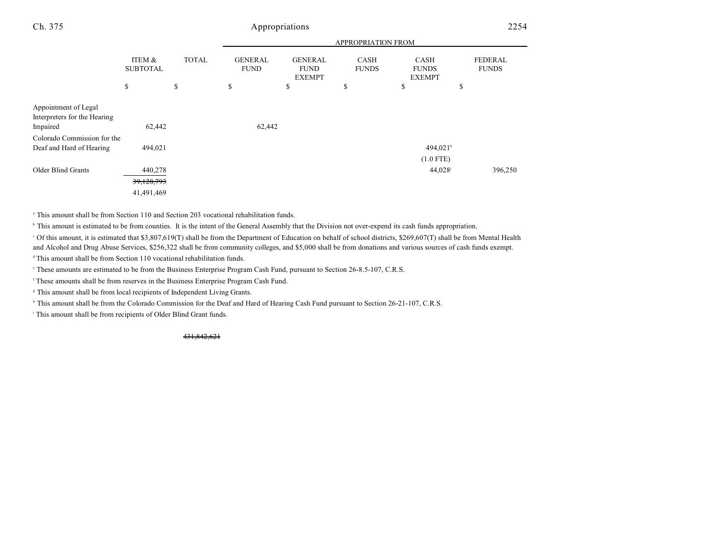|                                                                  |                                     | APPROPRIATION FROM |                                     |                                                      |                                   |                                             |                                      |
|------------------------------------------------------------------|-------------------------------------|--------------------|-------------------------------------|------------------------------------------------------|-----------------------------------|---------------------------------------------|--------------------------------------|
|                                                                  | ITEM &<br><b>SUBTOTAL</b><br>\$     | <b>TOTAL</b><br>\$ | <b>GENERAL</b><br><b>FUND</b><br>\$ | <b>GENERAL</b><br><b>FUND</b><br><b>EXEMPT</b><br>\$ | <b>CASH</b><br><b>FUNDS</b><br>\$ | CASH<br><b>FUNDS</b><br><b>EXEMPT</b><br>\$ | <b>FEDERAL</b><br><b>FUNDS</b><br>\$ |
| Appointment of Legal<br>Interpreters for the Hearing<br>Impaired | 62,442                              |                    | 62,442                              |                                                      |                                   |                                             |                                      |
| Colorado Commission for the<br>Deaf and Hard of Hearing          | 494,021                             |                    |                                     |                                                      |                                   | 494,021h<br>$(1.0$ FTE)                     |                                      |
| Older Blind Grants                                               | 440,278<br>39,128,793<br>41,491,469 |                    |                                     |                                                      |                                   | 44,028 <sup>i</sup>                         | 396,250                              |

This amount shall be from Section 110 and Section 203 vocational rehabilitation funds. <sup>a</sup>

<sup>b</sup> This amount is estimated to be from counties. It is the intent of the General Assembly that the Division not over-expend its cash funds appropriation.

 Of this amount, it is estimated that \$3,807,619(T) shall be from the Department of Education on behalf of school districts, \$269,607(T) shall be from Mental Health <sup>c</sup> and Alcohol and Drug Abuse Services, \$256,322 shall be from community colleges, and \$5,000 shall be from donations and various sources of cash funds exempt.

 $\triangleq$  This amount shall be from Section 110 vocational rehabilitation funds.

These amounts are estimated to be from the Business Enterprise Program Cash Fund, pursuant to Section 26-8.5-107, C.R.S. <sup>e</sup>

<sup>f</sup> These amounts shall be from reserves in the Business Enterprise Program Cash Fund.

<sup>8</sup> This amount shall be from local recipients of Independent Living Grants.

<sup>h</sup> This amount shall be from the Colorado Commission for the Deaf and Hard of Hearing Cash Fund pursuant to Section 26-21-107, C.R.S.

<sup>i</sup> This amount shall be from recipients of Older Blind Grant funds.

431,842,621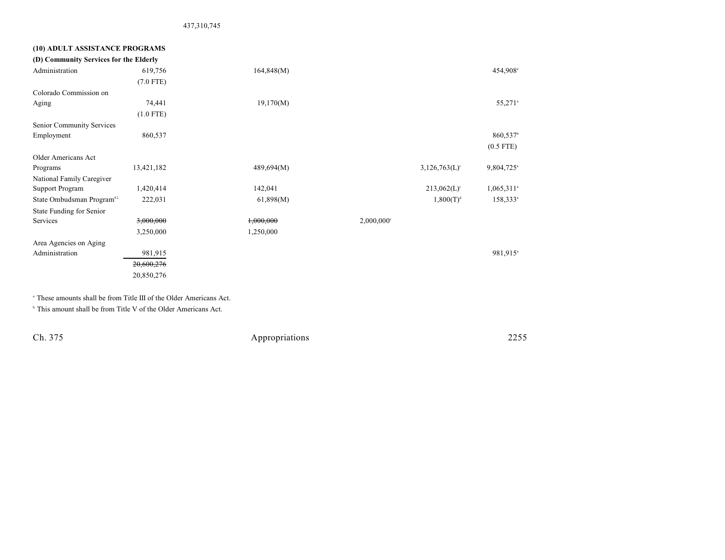437,310,745

## **(10) ADULT ASSISTANCE PROGRAMS (D) Community Services for the Elderly** Administration 619,756 619,756 164,848(M) 619,848 and 54,908<sup>a</sup> (7.0 FTE) Colorado Commission on Aging 21,170(M) 55,271<sup>a</sup> (1.0 FTE) Senior Community Services Employment  $860,537$   $860,537$ (0.5 FTE) Older Americans Act Programs 13,421,182 489,694(M) 3,126,763(L) 9,804,725 3,126,763(L) 9,804,725 National Family Caregiver Support Program 1,420,414 142,041 142,041 213,062(L)<sup>c</sup> 1,065,311<sup>a</sup> State Ombudsman Program<sup>82</sup> 222,031 61,898(M) 1,800(T)<sup>d</sup> 158,333<sup>a</sup> State Funding for Senior Services 3,000,000 3,000,000 1,000,000 2,000,000 2,000,000 3,250,000 1,250,000 Area Agencies on Aging Administration 981,915 981,915 981,915 20,600,276 20,850,276

<sup>a</sup> These amounts shall be from Title III of the Older Americans Act.

<sup>b</sup> This amount shall be from Title V of the Older Americans Act.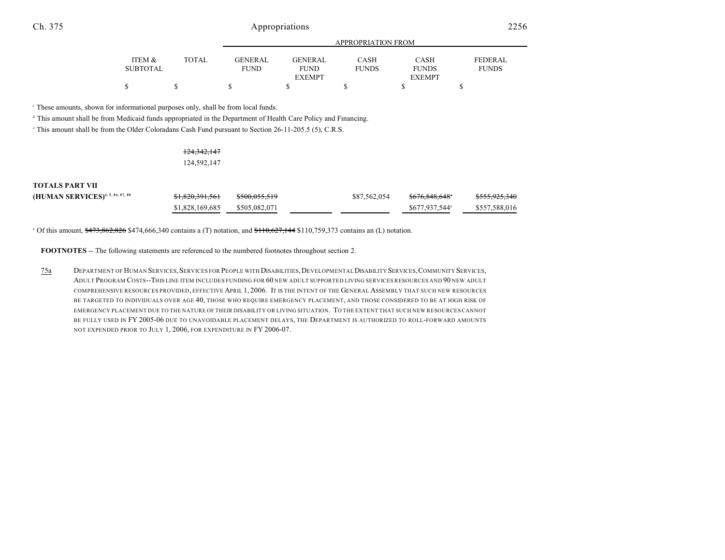|                 |              | APPROPRIATION FROM |                |              |               |              |  |  |
|-----------------|--------------|--------------------|----------------|--------------|---------------|--------------|--|--|
|                 |              |                    |                |              |               |              |  |  |
| ITEM &          | <b>TOTAL</b> | <b>GENERAL</b>     | <b>GENERAL</b> | CASH         | CASH          | FEDERAL.     |  |  |
| <b>SUBTOTAL</b> |              | <b>FUND</b>        | <b>FUND</b>    | <b>FUNDS</b> | <b>FUNDS</b>  | <b>FUNDS</b> |  |  |
|                 |              |                    | <b>EXEMPT</b>  |              | <b>EXEMPT</b> |              |  |  |
| \$              |              |                    |                |              |               |              |  |  |

These amounts, shown for informational purposes only, shall be from local funds. <sup>c</sup>

<sup>d</sup> This amount shall be from Medicaid funds appropriated in the Department of Health Care Policy and Financing.

<sup>e</sup> This amount shall be from the Older Coloradans Cash Fund pursuant to Section 26-11-205.5 (5), C.R.S.

### 124,342,147 124,592,147

| <b>TOTALS PART VII</b>                       |                            |                          |              |                            |                          |
|----------------------------------------------|----------------------------|--------------------------|--------------|----------------------------|--------------------------|
| (HUMAN SERVICES) <sup>4, 5, 86, 87, 88</sup> | <del>\$1,820,391,561</del> | <del>\$500,055,519</del> | \$87,562,054 | <del>\$676.848.648</del> * | <del>\$555,925,340</del> |
|                                              | \$1,828,169,685            | \$505,082,071            |              | \$677,937,544 <sup>a</sup> | \$557,588,016            |

 $^{\circ}$  Of this amount,  $$473,862,826$  \$474,666,340 contains a (T) notation, and  $$110,627,144$  \$110,759,373 contains an (L) notation.

**FOOTNOTES** -- The following statements are referenced to the numbered footnotes throughout section 2.

75a DEPARTMENT OF HUMAN SERVICES,SERVICES FOR PEOPLE WITH DISABILITIES,DEVELOPMENTAL DISABILITY SERVICES,COMMUNITY SERVICES, ADULT PROGRAM COSTS--THIS LINE ITEM INCLUDES FUNDING FOR 60 NEW ADULT SUPPORTED LIVING SERVICES RESOURCES AND 90 NEW ADULT COMPREHENSIVE RESOURCES PROVIDED, EFFECTIVE APRIL 1, 2006. IT IS THE INTENT OF THE GENERAL ASSEMBLY THAT SUCH NEW RESOURCES BE TARGETED TO INDIVIDUALS OVER AGE 40, THOSE WHO REQUIRE EMERGENCY PLACEMENT, AND THOSE CONSIDERED TO BE AT HIGH RISK OF EMERGENCY PLACEMENT DUE TO THE NATURE OF THEIR DISABILITY OR LIVING SITUATION. TO THE EXTENT THAT SUCH NEW RESOURCES CANNOT BE FULLY USED IN FY 2005-06 DUE TO UNAVOIDABLE PLACEMENT DELAYS, THE DEPARTMENT IS AUTHORIZED TO ROLL-FORWARD AMOUNTS NOT EXPENDED PRIOR TO JULY 1, 2006, FOR EXPENDITURE IN FY 2006-07.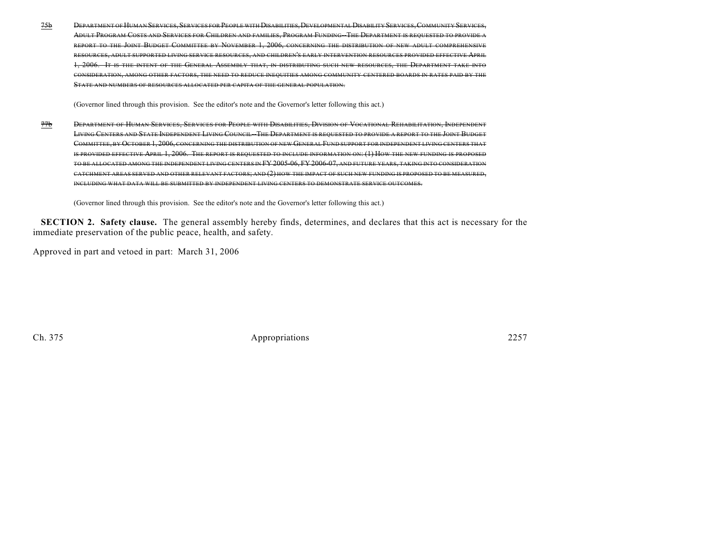75b DEPARTMENT OF HUMAN SERVICES,SERVICES FOR PEOPLE WITH DISABILITIES,DEVELOPMENTAL DISABILITY SERVICES,COMMUNITY SERVICES, ADULT PROGRAM COSTS AND SERVICES FOR CHILDREN AND FAMILIES, PROGRAM FUNDING--THE DEPARTMENT IS REQUESTED TO PROVIDE A REPORT TO THE JOINT BUDGET COMMITTEE BY NOVEMBER 1, 2006, CONCERNING THE DISTRIBUTION OF NEW ADULT COMPREHENSIVE RESOURCES, ADULT SUPPORTED LIVING SERVICE RESOURCES, AND CHILDREN'S EARLY INTERVENTION RESOURCES PROVIDED EFFECTIVE APRIL 1, 2006. IT IS THE INTENT OF THE GENERAL ASSEMBLY THAT, IN DISTRIBUTING SUCH NEW RESOURCES, THE DEPARTMENT TAKE INTO CONSIDERATION, AMONG OTHER FACTORS, THE NEED TO REDUCE INEQUITIES AMONG COMMUNITY CENTERED BOARDS IN RATES PAID BY THE STATE AND NUMBERS OF RESOURCES ALLOCATED PER CAPITA OF THE GENERAL POPULATION.

(Governor lined through this provision. See the editor's note and the Governor's letter following this act.)

77b DEPARTMENT OF HUMAN SERVICES, SERVICES FOR PEOPLE WITH DISABILITIES, DIVISION OF VOCATIONAL REHABILITATION, INDEPENDENT LIVING CENTERS AND STATE INDEPENDENT LIVING COUNCIL-THE DEPARTMENT IS REQUESTED TO PROVIDE A REPORT TO THE JOINT BUDGET COMMITTEE, BY OCTOBER 1, 2006, CONCERNING THE DISTRIBUTION OF NEW GENERAL FUND SUPPORT FOR INDEPENDENT LIVING CENTERS THAT IS PROVIDED EFFECTIVE APRIL 1, 2006. THE REPORT IS REQUESTED TO INCLUDE INFORMATION ON: (1) HOW THE NEW FUNDING IS PROPOSED TO BE ALLOCATED AMONG THE INDEPENDENT LIVING CENTERS IN FY 2005-06, FY 2006-07, AND FUTURE YEARS, TAKING INTO CONSIDERATION CATCHMENT AREAS SERVED AND OTHER RELEVANT FACTORS; AND (2) HOW THE IMPACT OF SUCH NEW FUNDING IS PROPOSED TO BE MEASURED, INCLUDING WHAT DATA WILL BE SUBMITTED BY INDEPENDENT LIVING CENTERS TO DEMONSTRATE SERVICE OUTCOMES.

(Governor lined through this provision. See the editor's note and the Governor's letter following this act.)

**SECTION 2. Safety clause.** The general assembly hereby finds, determines, and declares that this act is necessary for the immediate preservation of the public peace, health, and safety.

Approved in part and vetoed in part: March 31, 2006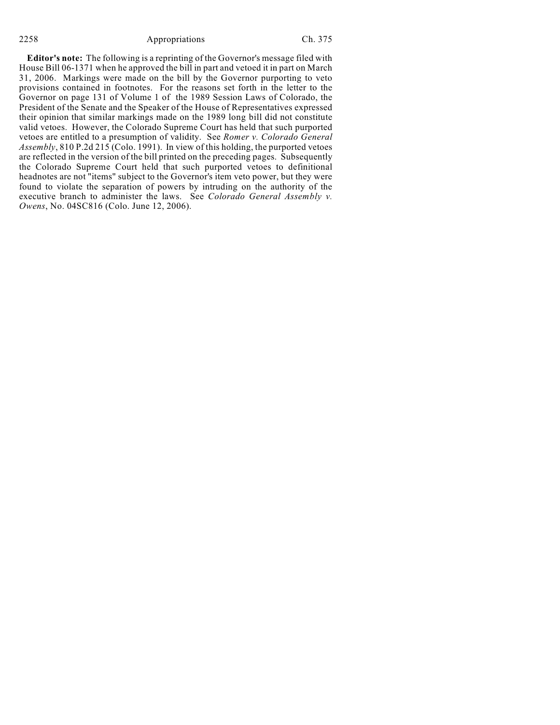### 2258 Appropriations Ch. 375

**Editor's note:** The following is a reprinting of the Governor's message filed with House Bill 06-1371 when he approved the bill in part and vetoed it in part on March 31, 2006. Markings were made on the bill by the Governor purporting to veto provisions contained in footnotes. For the reasons set forth in the letter to the Governor on page 131 of Volume 1 of the 1989 Session Laws of Colorado, the President of the Senate and the Speaker of the House of Representatives expressed their opinion that similar markings made on the 1989 long bill did not constitute valid vetoes. However, the Colorado Supreme Court has held that such purported vetoes are entitled to a presumption of validity. See *Romer v. Colorado General Assembly*, 810 P.2d 215 (Colo. 1991). In view of this holding, the purported vetoes are reflected in the version of the bill printed on the preceding pages. Subsequently the Colorado Supreme Court held that such purported vetoes to definitional headnotes are not "items" subject to the Governor's item veto power, but they were found to violate the separation of powers by intruding on the authority of the executive branch to administer the laws. See *Colorado General Assembly v. Owens*, No. 04SC816 (Colo. June 12, 2006).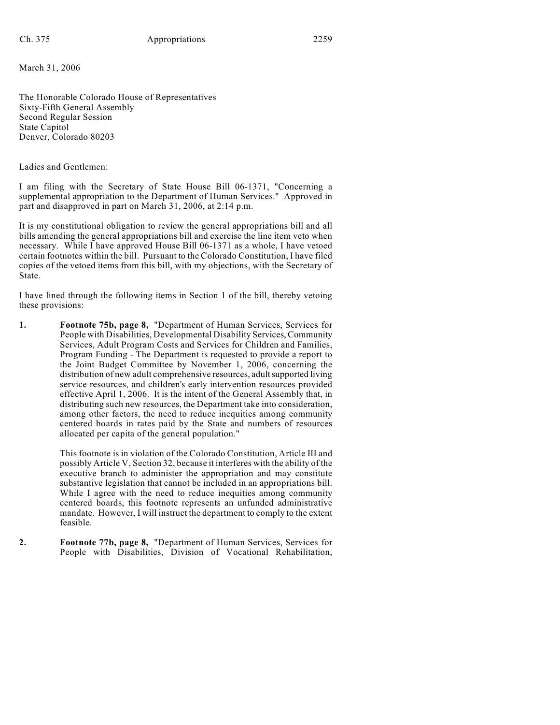March 31, 2006

The Honorable Colorado House of Representatives Sixty-Fifth General Assembly Second Regular Session State Capitol Denver, Colorado 80203

Ladies and Gentlemen:

I am filing with the Secretary of State House Bill 06-1371, "Concerning a supplemental appropriation to the Department of Human Services." Approved in part and disapproved in part on March 31, 2006, at 2:14 p.m.

It is my constitutional obligation to review the general appropriations bill and all bills amending the general appropriations bill and exercise the line item veto when necessary. While I have approved House Bill 06-1371 as a whole, I have vetoed certain footnotes within the bill. Pursuant to the Colorado Constitution, I have filed copies of the vetoed items from this bill, with my objections, with the Secretary of State.

I have lined through the following items in Section 1 of the bill, thereby vetoing these provisions:

**1. Footnote 75b, page 8,** "Department of Human Services, Services for People with Disabilities, Developmental Disability Services, Community Services, Adult Program Costs and Services for Children and Families, Program Funding - The Department is requested to provide a report to the Joint Budget Committee by November 1, 2006, concerning the distribution of new adult comprehensive resources, adult supported living service resources, and children's early intervention resources provided effective April 1, 2006. It is the intent of the General Assembly that, in distributing such new resources, the Department take into consideration, among other factors, the need to reduce inequities among community centered boards in rates paid by the State and numbers of resources allocated per capita of the general population."

> This footnote is in violation of the Colorado Constitution, Article III and possibly Article V, Section 32, because it interferes with the ability of the executive branch to administer the appropriation and may constitute substantive legislation that cannot be included in an appropriations bill. While I agree with the need to reduce inequities among community centered boards, this footnote represents an unfunded administrative mandate. However, I will instruct the department to comply to the extent feasible.

**2. Footnote 77b, page 8,** "Department of Human Services, Services for People with Disabilities, Division of Vocational Rehabilitation,